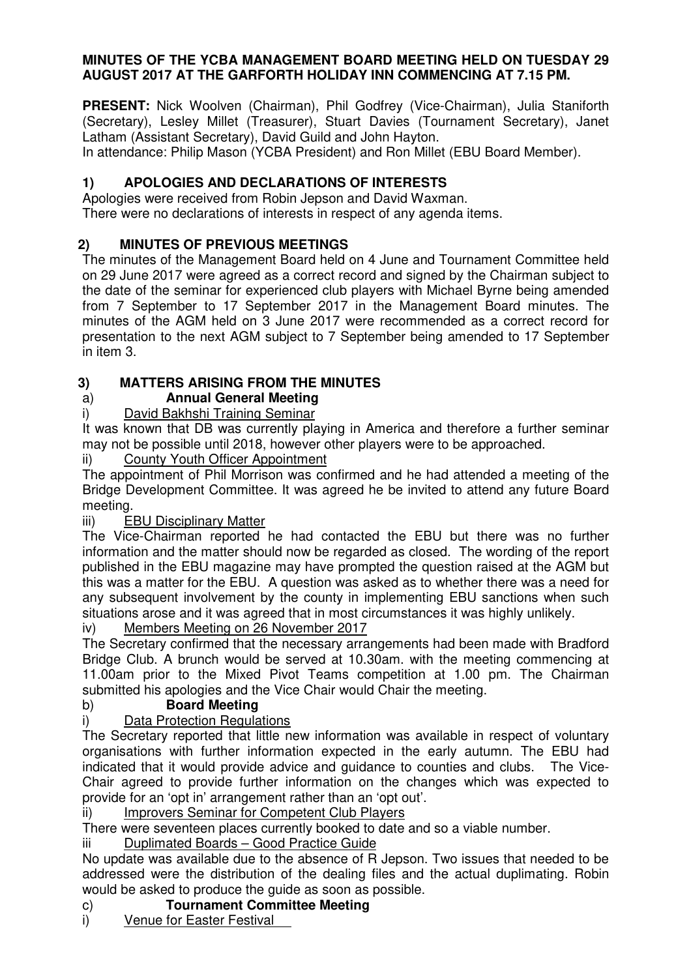## **MINUTES OF THE YCBA MANAGEMENT BOARD MEETING HELD ON TUESDAY 29 AUGUST 2017 AT THE GARFORTH HOLIDAY INN COMMENCING AT 7.15 PM.**

**PRESENT:** Nick Woolven (Chairman), Phil Godfrey (Vice-Chairman), Julia Staniforth (Secretary), Lesley Millet (Treasurer), Stuart Davies (Tournament Secretary), Janet Latham (Assistant Secretary), David Guild and John Hayton.

In attendance: Philip Mason (YCBA President) and Ron Millet (EBU Board Member).

# **1) APOLOGIES AND DECLARATIONS OF INTERESTS**

Apologies were received from Robin Jepson and David Waxman.

There were no declarations of interests in respect of any agenda items.

# **2) MINUTES OF PREVIOUS MEETINGS**

The minutes of the Management Board held on 4 June and Tournament Committee held on 29 June 2017 were agreed as a correct record and signed by the Chairman subject to the date of the seminar for experienced club players with Michael Byrne being amended from 7 September to 17 September 2017 in the Management Board minutes. The minutes of the AGM held on 3 June 2017 were recommended as a correct record for presentation to the next AGM subject to 7 September being amended to 17 September in item 3.

# **3) MATTERS ARISING FROM THE MINUTES**

# a) **Annual General Meeting**

i) David Bakhshi Training Seminar

It was known that DB was currently playing in America and therefore a further seminar may not be possible until 2018, however other players were to be approached.

## ii) County Youth Officer Appointment

 The appointment of Phil Morrison was confirmed and he had attended a meeting of the Bridge Development Committee. It was agreed he be invited to attend any future Board meeting.

## iii) EBU Disciplinary Matter

The Vice-Chairman reported he had contacted the EBU but there was no further information and the matter should now be regarded as closed. The wording of the report published in the EBU magazine may have prompted the question raised at the AGM but this was a matter for the EBU. A question was asked as to whether there was a need for any subsequent involvement by the county in implementing EBU sanctions when such situations arose and it was agreed that in most circumstances it was highly unlikely.

iv) Members Meeting on 26 November 2017

The Secretary confirmed that the necessary arrangements had been made with Bradford Bridge Club. A brunch would be served at 10.30am. with the meeting commencing at 11.00am prior to the Mixed Pivot Teams competition at 1.00 pm. The Chairman submitted his apologies and the Vice Chair would Chair the meeting.

## b) **Board Meeting**

# i) Data Protection Regulations

The Secretary reported that little new information was available in respect of voluntary organisations with further information expected in the early autumn. The EBU had indicated that it would provide advice and guidance to counties and clubs. The Vice-Chair agreed to provide further information on the changes which was expected to provide for an 'opt in' arrangement rather than an 'opt out'.

ii) Improvers Seminar for Competent Club Players

There were seventeen places currently booked to date and so a viable number.

iii Duplimated Boards – Good Practice Guide

No update was available due to the absence of R Jepson. Two issues that needed to be addressed were the distribution of the dealing files and the actual duplimating. Robin would be asked to produce the guide as soon as possible.

## c) **Tournament Committee Meeting**

i) Venue for Easter Festival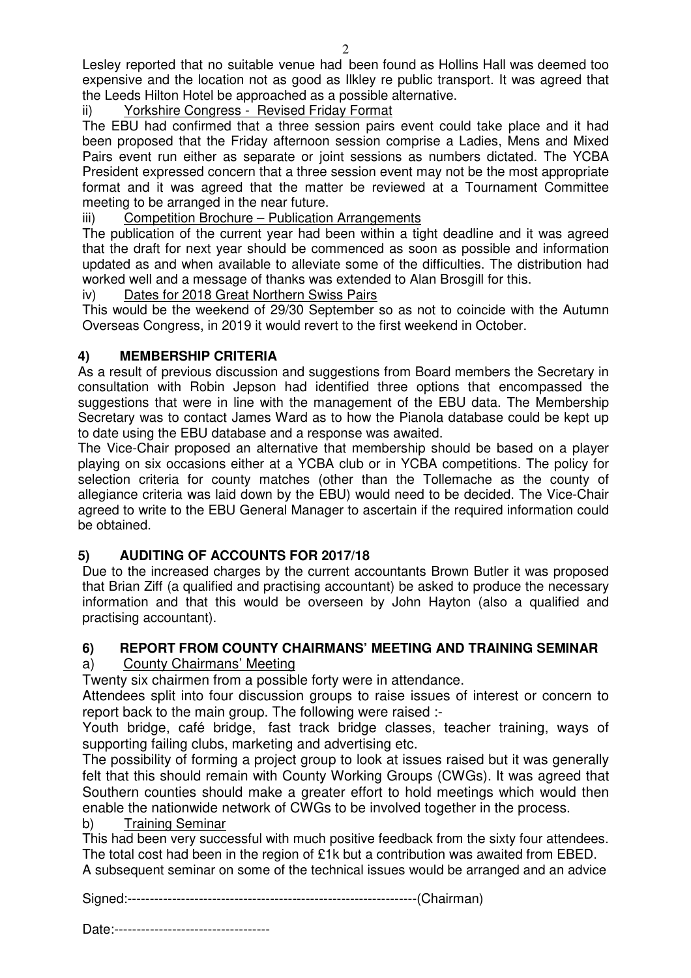Lesley reported that no suitable venue had been found as Hollins Hall was deemed too expensive and the location not as good as Ilkley re public transport. It was agreed that the Leeds Hilton Hotel be approached as a possible alternative.

ii) Yorkshire Congress - Revised Friday Format

The EBU had confirmed that a three session pairs event could take place and it had been proposed that the Friday afternoon session comprise a Ladies, Mens and Mixed Pairs event run either as separate or joint sessions as numbers dictated. The YCBA President expressed concern that a three session event may not be the most appropriate format and it was agreed that the matter be reviewed at a Tournament Committee meeting to be arranged in the near future.

### iii) Competition Brochure – Publication Arrangements

The publication of the current year had been within a tight deadline and it was agreed that the draft for next year should be commenced as soon as possible and information updated as and when available to alleviate some of the difficulties. The distribution had worked well and a message of thanks was extended to Alan Brosgill for this.

### iv) Dates for 2018 Great Northern Swiss Pairs

This would be the weekend of 29/30 September so as not to coincide with the Autumn Overseas Congress, in 2019 it would revert to the first weekend in October.

## **4) MEMBERSHIP CRITERIA**

As a result of previous discussion and suggestions from Board members the Secretary in consultation with Robin Jepson had identified three options that encompassed the suggestions that were in line with the management of the EBU data. The Membership Secretary was to contact James Ward as to how the Pianola database could be kept up to date using the EBU database and a response was awaited.

The Vice-Chair proposed an alternative that membership should be based on a player playing on six occasions either at a YCBA club or in YCBA competitions. The policy for selection criteria for county matches (other than the Tollemache as the county of allegiance criteria was laid down by the EBU) would need to be decided. The Vice-Chair agreed to write to the EBU General Manager to ascertain if the required information could be obtained.

## **5) AUDITING OF ACCOUNTS FOR 2017/18**

Due to the increased charges by the current accountants Brown Butler it was proposed that Brian Ziff (a qualified and practising accountant) be asked to produce the necessary information and that this would be overseen by John Hayton (also a qualified and practising accountant).

## **6) REPORT FROM COUNTY CHAIRMANS' MEETING AND TRAINING SEMINAR**

### a) County Chairmans' Meeting

Twenty six chairmen from a possible forty were in attendance.

Attendees split into four discussion groups to raise issues of interest or concern to report back to the main group. The following were raised :-

Youth bridge, café bridge, fast track bridge classes, teacher training, ways of supporting failing clubs, marketing and advertising etc.

The possibility of forming a project group to look at issues raised but it was generally felt that this should remain with County Working Groups (CWGs). It was agreed that Southern counties should make a greater effort to hold meetings which would then enable the nationwide network of CWGs to be involved together in the process.

b) Training Seminar

This had been very successful with much positive feedback from the sixty four attendees. The total cost had been in the region of £1k but a contribution was awaited from EBED. A subsequent seminar on some of the technical issues would be arranged and an advice

Signed:-----------------------------------------------------------------(Chairman)

Date:-----------------------------------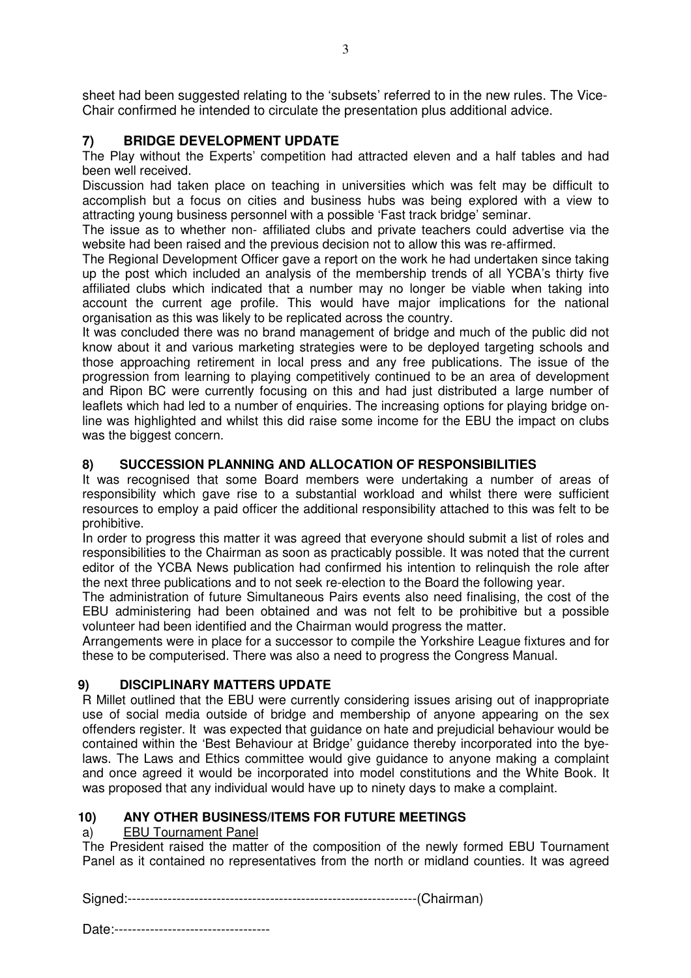sheet had been suggested relating to the 'subsets' referred to in the new rules. The Vice-Chair confirmed he intended to circulate the presentation plus additional advice.

## **7) BRIDGE DEVELOPMENT UPDATE**

The Play without the Experts' competition had attracted eleven and a half tables and had been well received.

Discussion had taken place on teaching in universities which was felt may be difficult to accomplish but a focus on cities and business hubs was being explored with a view to attracting young business personnel with a possible 'Fast track bridge' seminar.

The issue as to whether non- affiliated clubs and private teachers could advertise via the website had been raised and the previous decision not to allow this was re-affirmed.

The Regional Development Officer gave a report on the work he had undertaken since taking up the post which included an analysis of the membership trends of all YCBA's thirty five affiliated clubs which indicated that a number may no longer be viable when taking into account the current age profile. This would have major implications for the national organisation as this was likely to be replicated across the country.

It was concluded there was no brand management of bridge and much of the public did not know about it and various marketing strategies were to be deployed targeting schools and those approaching retirement in local press and any free publications. The issue of the progression from learning to playing competitively continued to be an area of development and Ripon BC were currently focusing on this and had just distributed a large number of leaflets which had led to a number of enquiries. The increasing options for playing bridge online was highlighted and whilst this did raise some income for the EBU the impact on clubs was the biggest concern.

### **8) SUCCESSION PLANNING AND ALLOCATION OF RESPONSIBILITIES**

It was recognised that some Board members were undertaking a number of areas of responsibility which gave rise to a substantial workload and whilst there were sufficient resources to employ a paid officer the additional responsibility attached to this was felt to be prohibitive.

In order to progress this matter it was agreed that everyone should submit a list of roles and responsibilities to the Chairman as soon as practicably possible. It was noted that the current editor of the YCBA News publication had confirmed his intention to relinquish the role after the next three publications and to not seek re-election to the Board the following year.

The administration of future Simultaneous Pairs events also need finalising, the cost of the EBU administering had been obtained and was not felt to be prohibitive but a possible volunteer had been identified and the Chairman would progress the matter.

Arrangements were in place for a successor to compile the Yorkshire League fixtures and for these to be computerised. There was also a need to progress the Congress Manual.

### **9) DISCIPLINARY MATTERS UPDATE**

R Millet outlined that the EBU were currently considering issues arising out of inappropriate use of social media outside of bridge and membership of anyone appearing on the sex offenders register. It was expected that guidance on hate and prejudicial behaviour would be contained within the 'Best Behaviour at Bridge' guidance thereby incorporated into the byelaws. The Laws and Ethics committee would give guidance to anyone making a complaint and once agreed it would be incorporated into model constitutions and the White Book. It was proposed that any individual would have up to ninety days to make a complaint.

### **10) ANY OTHER BUSINESS/ITEMS FOR FUTURE MEETINGS**

#### a) EBU Tournament Panel

The President raised the matter of the composition of the newly formed EBU Tournament Panel as it contained no representatives from the north or midland counties. It was agreed

Signed:-----------------------------------------------------------------(Chairman)

Date:-----------------------------------